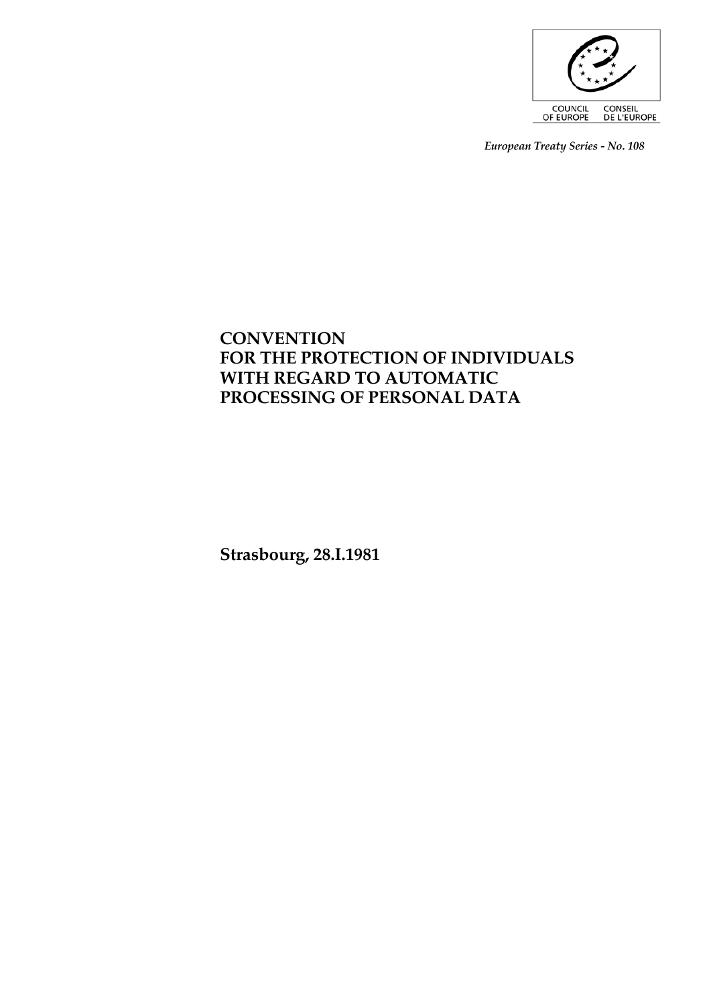

*European Treaty Series - No. 108*

# **CONVENTION FOR THE PROTECTION OF INDIVIDUALS WITH REGARD TO AUTOMATIC PROCESSING OF PERSONAL DATA**

**Strasbourg, 28.I.1981**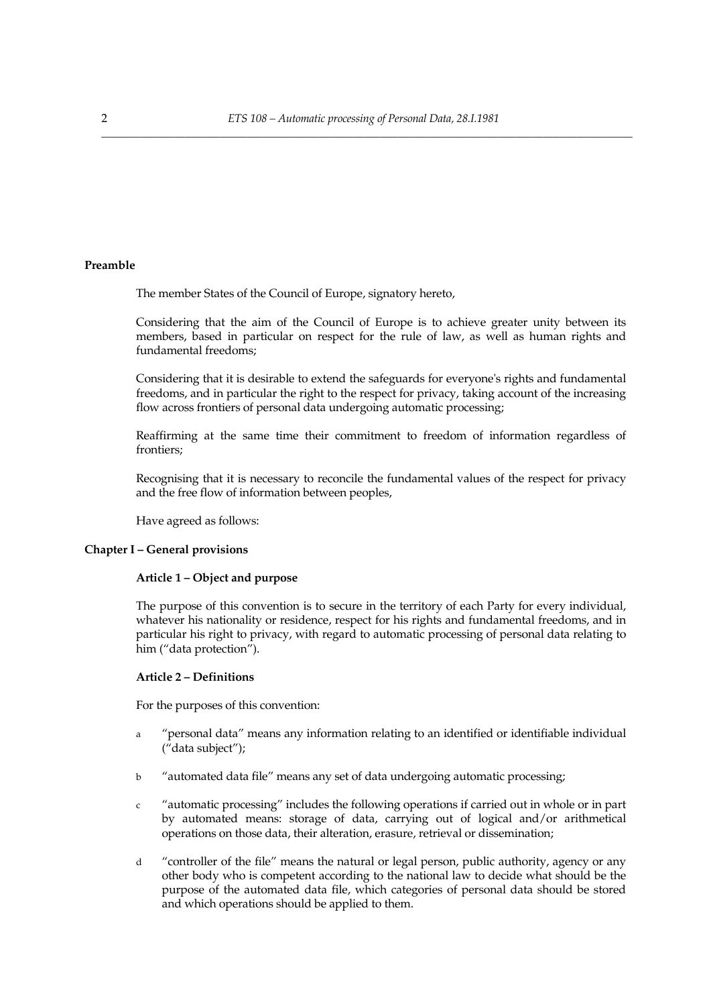## **Preamble**

The member States of the Council of Europe, signatory hereto,

Considering that the aim of the Council of Europe is to achieve greater unity between its members, based in particular on respect for the rule of law, as well as human rights and fundamental freedoms;

Considering that it is desirable to extend the safeguards for everyone's rights and fundamental freedoms, and in particular the right to the respect for privacy, taking account of the increasing flow across frontiers of personal data undergoing automatic processing;

Reaffirming at the same time their commitment to freedom of information regardless of frontiers;

Recognising that it is necessary to reconcile the fundamental values of the respect for privacy and the free flow of information between peoples,

Have agreed as follows:

### **Chapter I – General provisions**

#### **Article 1 – Object and purpose**

The purpose of this convention is to secure in the territory of each Party for every individual, whatever his nationality or residence, respect for his rights and fundamental freedoms, and in particular his right to privacy, with regard to automatic processing of personal data relating to him ("data protection").

#### **Article 2 – Definitions**

For the purposes of this convention:

- a "personal data" means any information relating to an identified or identifiable individual ("data subject");
- b "automated data file" means any set of data undergoing automatic processing;
- c "automatic processing" includes the following operations if carried out in whole or in part by automated means: storage of data, carrying out of logical and/or arithmetical operations on those data, their alteration, erasure, retrieval or dissemination;
- d "controller of the file" means the natural or legal person, public authority, agency or any other body who is competent according to the national law to decide what should be the purpose of the automated data file, which categories of personal data should be stored and which operations should be applied to them.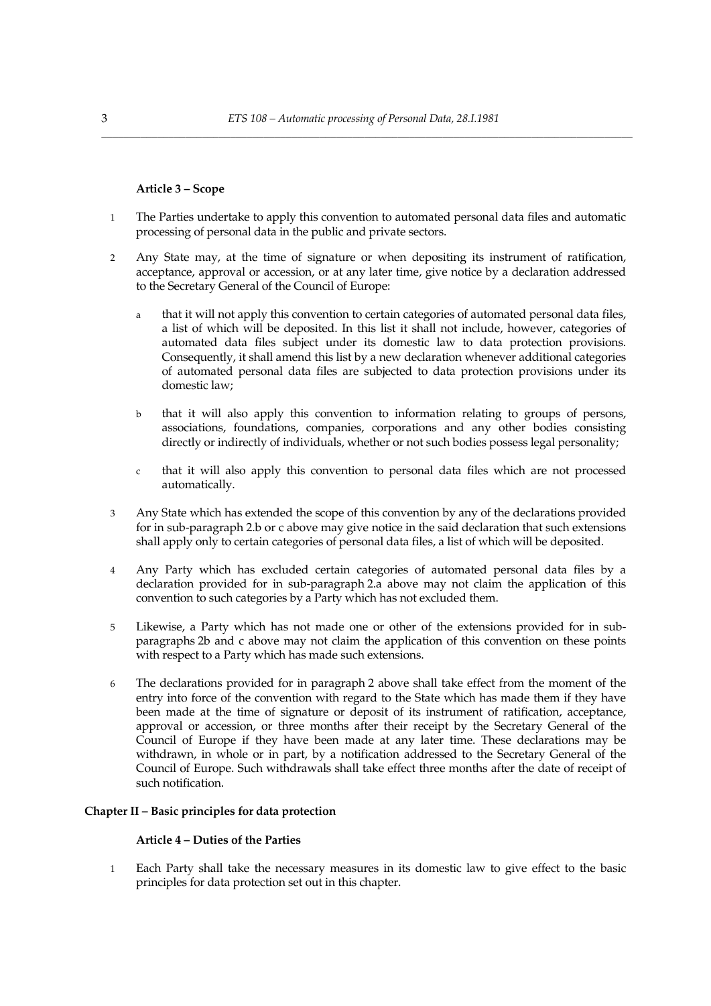#### **Article 3 – Scope**

- 1 The Parties undertake to apply this convention to automated personal data files and automatic processing of personal data in the public and private sectors.
- 2 Any State may, at the time of signature or when depositing its instrument of ratification, acceptance, approval or accession, or at any later time, give notice by a declaration addressed to the Secretary General of the Council of Europe:
	- a that it will not apply this convention to certain categories of automated personal data files, a list of which will be deposited. In this list it shall not include, however, categories of automated data files subject under its domestic law to data protection provisions. Consequently, it shall amend this list by a new declaration whenever additional categories of automated personal data files are subjected to data protection provisions under its domestic law;
	- b that it will also apply this convention to information relating to groups of persons, associations, foundations, companies, corporations and any other bodies consisting directly or indirectly of individuals, whether or not such bodies possess legal personality;
	- c that it will also apply this convention to personal data files which are not processed automatically.
- 3 Any State which has extended the scope of this convention by any of the declarations provided for in sub-paragraph 2.b or c above may give notice in the said declaration that such extensions shall apply only to certain categories of personal data files, a list of which will be deposited.
- 4 Any Party which has excluded certain categories of automated personal data files by a declaration provided for in sub-paragraph 2.a above may not claim the application of this convention to such categories by a Party which has not excluded them.
- 5 Likewise, a Party which has not made one or other of the extensions provided for in subparagraphs 2b and c above may not claim the application of this convention on these points with respect to a Party which has made such extensions.
- 6 The declarations provided for in paragraph 2 above shall take effect from the moment of the entry into force of the convention with regard to the State which has made them if they have been made at the time of signature or deposit of its instrument of ratification, acceptance, approval or accession, or three months after their receipt by the Secretary General of the Council of Europe if they have been made at any later time. These declarations may be withdrawn, in whole or in part, by a notification addressed to the Secretary General of the Council of Europe. Such withdrawals shall take effect three months after the date of receipt of such notification.

#### **Chapter II – Basic principles for data protection**

#### **Article 4 – Duties of the Parties**

1 Each Party shall take the necessary measures in its domestic law to give effect to the basic principles for data protection set out in this chapter.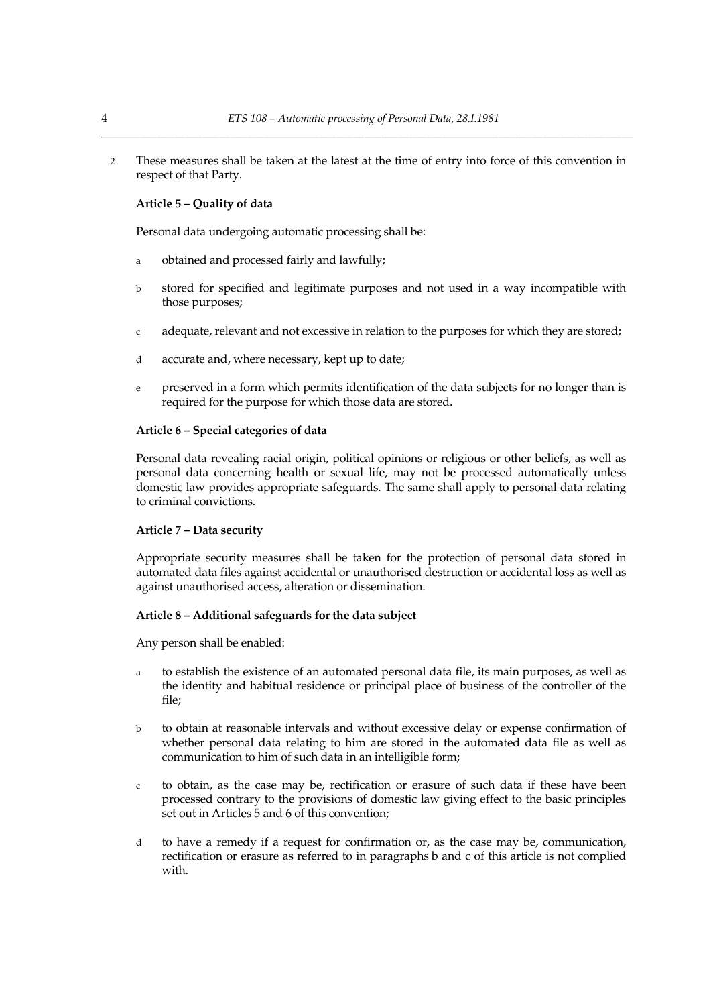2 These measures shall be taken at the latest at the time of entry into force of this convention in respect of that Party.

## **Article 5 – Quality of data**

Personal data undergoing automatic processing shall be:

- a obtained and processed fairly and lawfully;
- b stored for specified and legitimate purposes and not used in a way incompatible with those purposes;
- c adequate, relevant and not excessive in relation to the purposes for which they are stored;
- d accurate and, where necessary, kept up to date;
- e preserved in a form which permits identification of the data subjects for no longer than is required for the purpose for which those data are stored.

## **Article 6 – Special categories of data**

Personal data revealing racial origin, political opinions or religious or other beliefs, as well as personal data concerning health or sexual life, may not be processed automatically unless domestic law provides appropriate safeguards. The same shall apply to personal data relating to criminal convictions.

#### **Article 7 – Data security**

Appropriate security measures shall be taken for the protection of personal data stored in automated data files against accidental or unauthorised destruction or accidental loss as well as against unauthorised access, alteration or dissemination.

#### **Article 8 – Additional safeguards for the data subject**

Any person shall be enabled:

- a to establish the existence of an automated personal data file, its main purposes, as well as the identity and habitual residence or principal place of business of the controller of the file;
- b to obtain at reasonable intervals and without excessive delay or expense confirmation of whether personal data relating to him are stored in the automated data file as well as communication to him of such data in an intelligible form;
- c to obtain, as the case may be, rectification or erasure of such data if these have been processed contrary to the provisions of domestic law giving effect to the basic principles set out in Articles 5 and 6 of this convention;
- d to have a remedy if a request for confirmation or, as the case may be, communication, rectification or erasure as referred to in paragraphs b and c of this article is not complied with.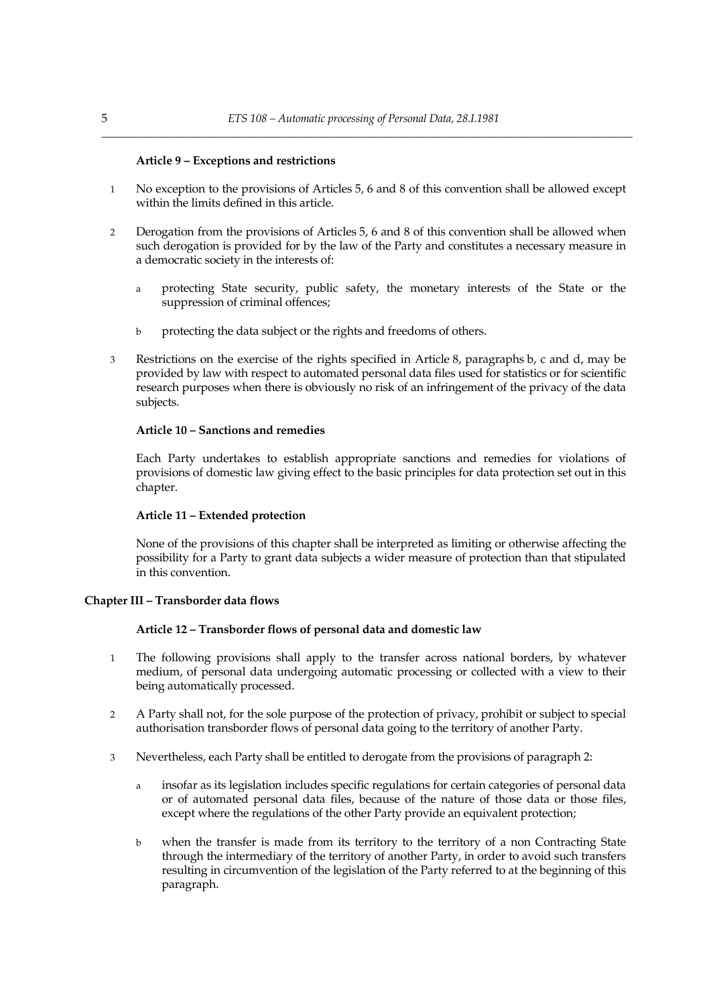#### **Article 9 – Exceptions and restrictions**

- 1 No exception to the provisions of Articles 5, 6 and 8 of this convention shall be allowed except within the limits defined in this article.
- 2 Derogation from the provisions of Articles 5, 6 and 8 of this convention shall be allowed when such derogation is provided for by the law of the Party and constitutes a necessary measure in a democratic society in the interests of:
	- a protecting State security, public safety, the monetary interests of the State or the suppression of criminal offences;
	- b protecting the data subject or the rights and freedoms of others.
- 3 Restrictions on the exercise of the rights specified in Article 8, paragraphs b, c and d, may be provided by law with respect to automated personal data files used for statistics or for scientific research purposes when there is obviously no risk of an infringement of the privacy of the data subjects.

## **Article 10 – Sanctions and remedies**

Each Party undertakes to establish appropriate sanctions and remedies for violations of provisions of domestic law giving effect to the basic principles for data protection set out in this chapter.

## **Article 11 – Extended protection**

None of the provisions of this chapter shall be interpreted as limiting or otherwise affecting the possibility for a Party to grant data subjects a wider measure of protection than that stipulated in this convention.

#### **Chapter III – Transborder data flows**

#### **Article 12 – Transborder flows of personal data and domestic law**

- 1 The following provisions shall apply to the transfer across national borders, by whatever medium, of personal data undergoing automatic processing or collected with a view to their being automatically processed.
- 2 A Party shall not, for the sole purpose of the protection of privacy, prohibit or subject to special authorisation transborder flows of personal data going to the territory of another Party.
- 3 Nevertheless, each Party shall be entitled to derogate from the provisions of paragraph 2:
	- a insofar as its legislation includes specific regulations for certain categories of personal data or of automated personal data files, because of the nature of those data or those files, except where the regulations of the other Party provide an equivalent protection;
	- b when the transfer is made from its territory to the territory of a non Contracting State through the intermediary of the territory of another Party, in order to avoid such transfers resulting in circumvention of the legislation of the Party referred to at the beginning of this paragraph.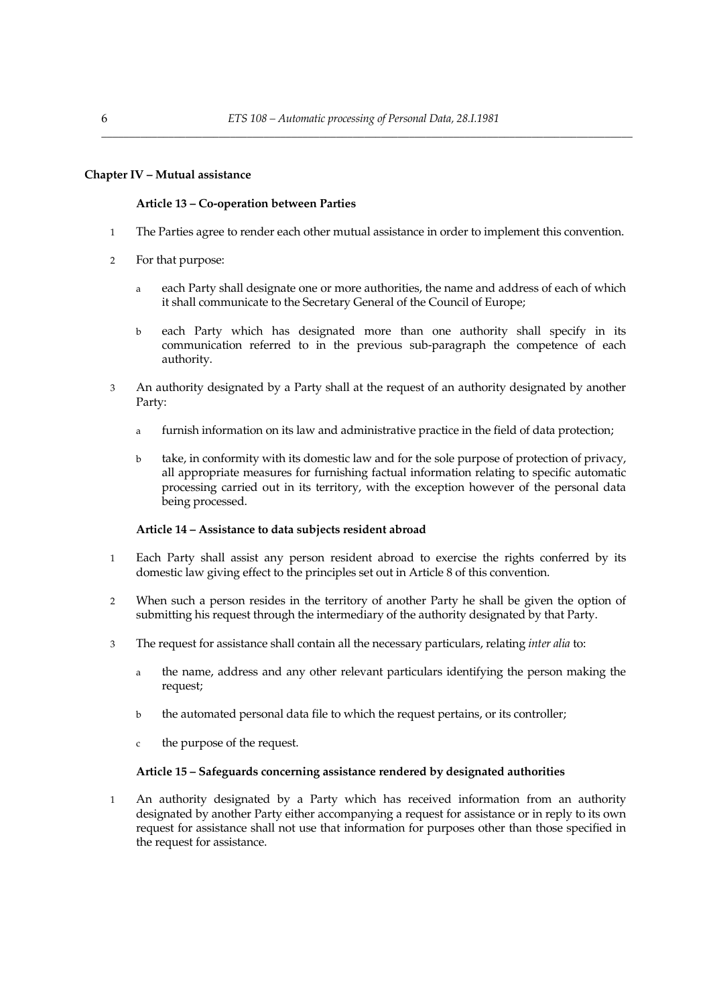## **Chapter IV – Mutual assistance**

#### **Article 13 – Co-operation between Parties**

- 1 The Parties agree to render each other mutual assistance in order to implement this convention.
- 2 For that purpose:
	- a each Party shall designate one or more authorities, the name and address of each of which it shall communicate to the Secretary General of the Council of Europe;
	- b each Party which has designated more than one authority shall specify in its communication referred to in the previous sub-paragraph the competence of each authority.
- 3 An authority designated by a Party shall at the request of an authority designated by another Party:
	- a furnish information on its law and administrative practice in the field of data protection;
	- b take, in conformity with its domestic law and for the sole purpose of protection of privacy, all appropriate measures for furnishing factual information relating to specific automatic processing carried out in its territory, with the exception however of the personal data being processed.

#### **Article 14 – Assistance to data subjects resident abroad**

- 1 Each Party shall assist any person resident abroad to exercise the rights conferred by its domestic law giving effect to the principles set out in Article 8 of this convention.
- 2 When such a person resides in the territory of another Party he shall be given the option of submitting his request through the intermediary of the authority designated by that Party.
- 3 The request for assistance shall contain all the necessary particulars, relating *inter alia* to:
	- a the name, address and any other relevant particulars identifying the person making the request;
	- b the automated personal data file to which the request pertains, or its controller;
	- c the purpose of the request.

#### **Article 15 – Safeguards concerning assistance rendered by designated authorities**

1 An authority designated by a Party which has received information from an authority designated by another Party either accompanying a request for assistance or in reply to its own request for assistance shall not use that information for purposes other than those specified in the request for assistance.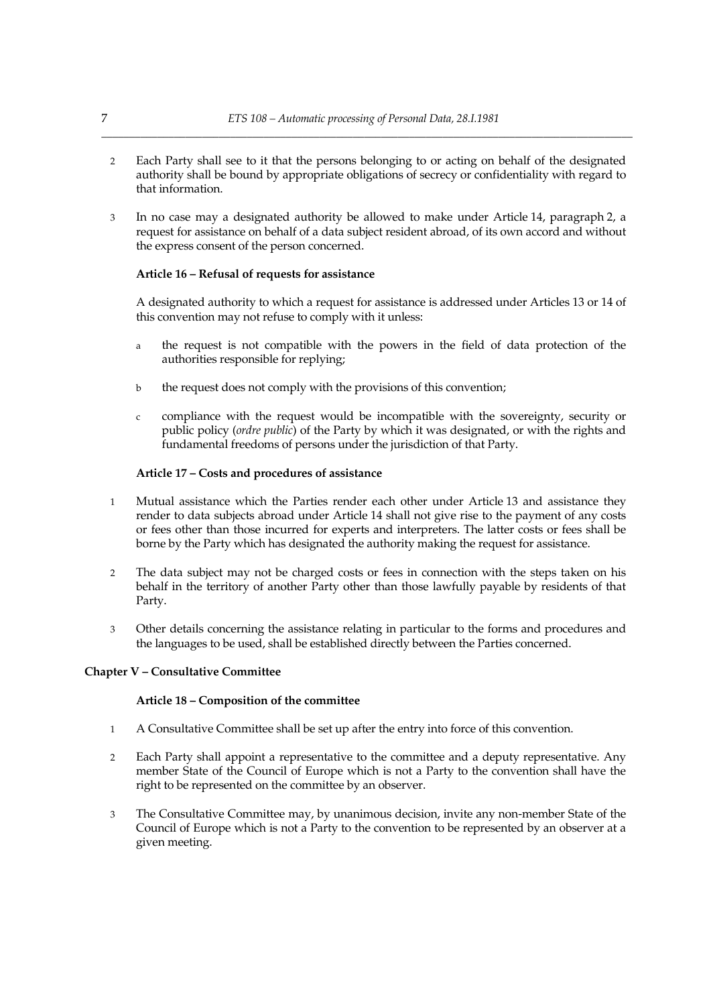- 2 Each Party shall see to it that the persons belonging to or acting on behalf of the designated authority shall be bound by appropriate obligations of secrecy or confidentiality with regard to that information.
- 3 In no case may a designated authority be allowed to make under Article 14, paragraph 2, a request for assistance on behalf of a data subject resident abroad, of its own accord and without the express consent of the person concerned.

# **Article 16 – Refusal of requests for assistance**

A designated authority to which a request for assistance is addressed under Articles 13 or 14 of this convention may not refuse to comply with it unless:

- a the request is not compatible with the powers in the field of data protection of the authorities responsible for replying;
- b the request does not comply with the provisions of this convention;
- c compliance with the request would be incompatible with the sovereignty, security or public policy (*ordre public*) of the Party by which it was designated, or with the rights and fundamental freedoms of persons under the jurisdiction of that Party.

## **Article 17 – Costs and procedures of assistance**

- 1 Mutual assistance which the Parties render each other under Article 13 and assistance they render to data subjects abroad under Article 14 shall not give rise to the payment of any costs or fees other than those incurred for experts and interpreters. The latter costs or fees shall be borne by the Party which has designated the authority making the request for assistance.
- 2 The data subject may not be charged costs or fees in connection with the steps taken on his behalf in the territory of another Party other than those lawfully payable by residents of that Party.
- 3 Other details concerning the assistance relating in particular to the forms and procedures and the languages to be used, shall be established directly between the Parties concerned.

## **Chapter V – Consultative Committee**

## **Article 18 – Composition of the committee**

- 1 A Consultative Committee shall be set up after the entry into force of this convention.
- 2 Each Party shall appoint a representative to the committee and a deputy representative. Any member State of the Council of Europe which is not a Party to the convention shall have the right to be represented on the committee by an observer.
- 3 The Consultative Committee may, by unanimous decision, invite any non-member State of the Council of Europe which is not a Party to the convention to be represented by an observer at a given meeting.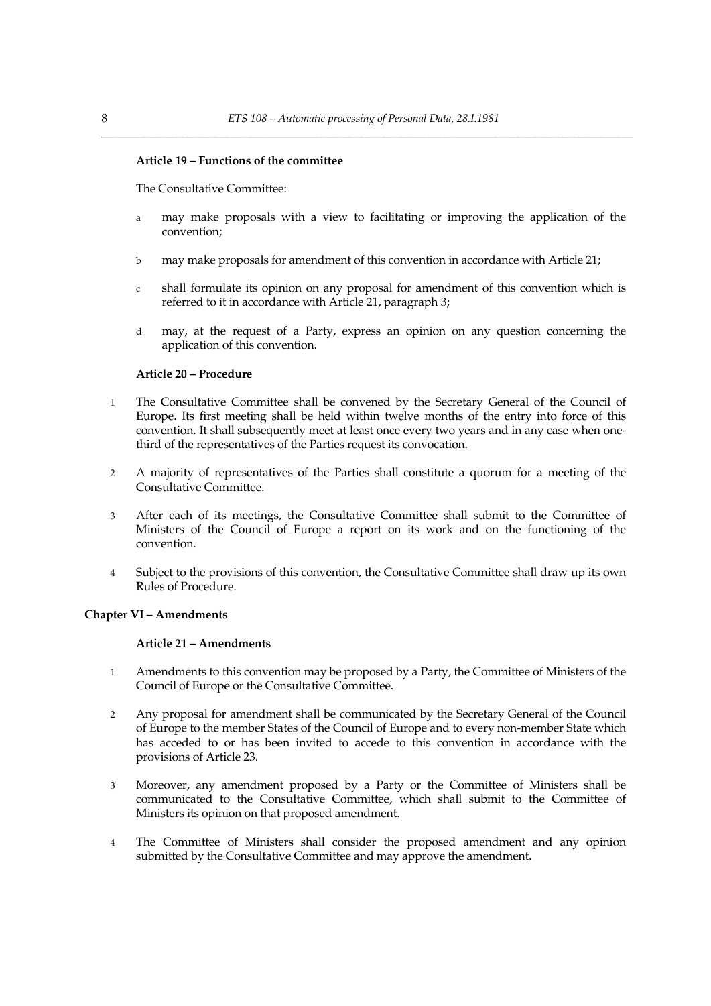#### **Article 19 – Functions of the committee**

The Consultative Committee:

- a may make proposals with a view to facilitating or improving the application of the convention;
- b may make proposals for amendment of this convention in accordance with Article 21;
- c shall formulate its opinion on any proposal for amendment of this convention which is referred to it in accordance with Article 21, paragraph 3;
- d may, at the request of a Party, express an opinion on any question concerning the application of this convention.

## **Article 20 – Procedure**

- 1 The Consultative Committee shall be convened by the Secretary General of the Council of Europe. Its first meeting shall be held within twelve months of the entry into force of this convention. It shall subsequently meet at least once every two years and in any case when onethird of the representatives of the Parties request its convocation.
- 2 A majority of representatives of the Parties shall constitute a quorum for a meeting of the Consultative Committee.
- 3 After each of its meetings, the Consultative Committee shall submit to the Committee of Ministers of the Council of Europe a report on its work and on the functioning of the convention.
- 4 Subject to the provisions of this convention, the Consultative Committee shall draw up its own Rules of Procedure.

# **Chapter VI – Amendments**

#### **Article 21 – Amendments**

- 1 Amendments to this convention may be proposed by a Party, the Committee of Ministers of the Council of Europe or the Consultative Committee.
- 2 Any proposal for amendment shall be communicated by the Secretary General of the Council of Europe to the member States of the Council of Europe and to every non-member State which has acceded to or has been invited to accede to this convention in accordance with the provisions of Article 23.
- 3 Moreover, any amendment proposed by a Party or the Committee of Ministers shall be communicated to the Consultative Committee, which shall submit to the Committee of Ministers its opinion on that proposed amendment.
- 4 The Committee of Ministers shall consider the proposed amendment and any opinion submitted by the Consultative Committee and may approve the amendment.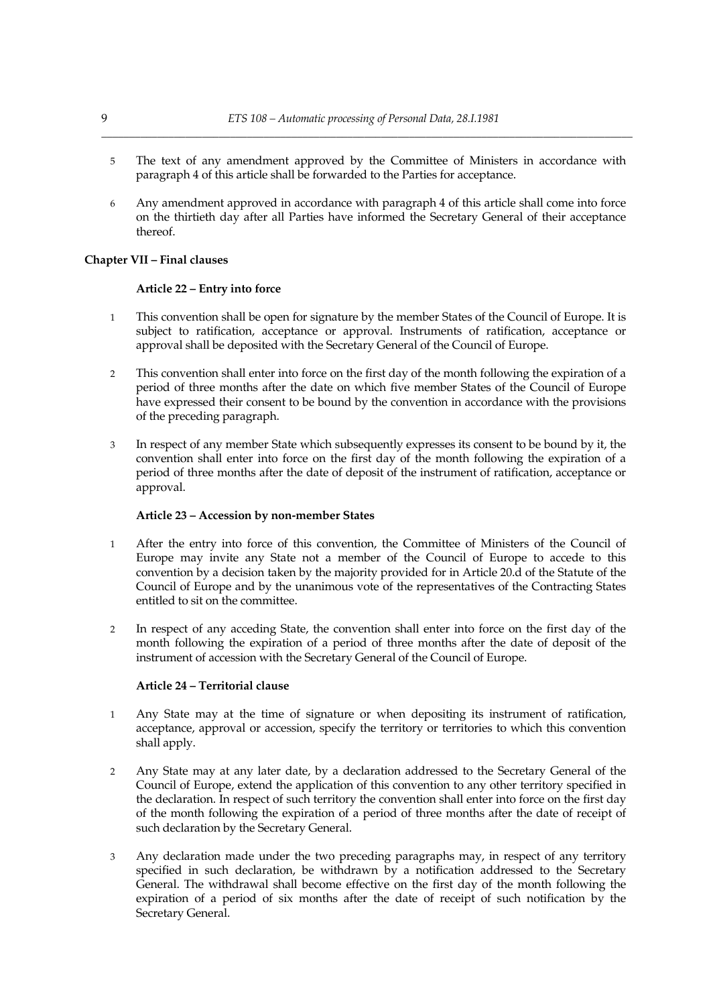- 5 The text of any amendment approved by the Committee of Ministers in accordance with paragraph 4 of this article shall be forwarded to the Parties for acceptance.
- 6 Any amendment approved in accordance with paragraph 4 of this article shall come into force on the thirtieth day after all Parties have informed the Secretary General of their acceptance thereof.

## **Chapter VII – Final clauses**

#### **Article 22 – Entry into force**

- 1 This convention shall be open for signature by the member States of the Council of Europe. It is subject to ratification, acceptance or approval. Instruments of ratification, acceptance or approval shall be deposited with the Secretary General of the Council of Europe.
- 2 This convention shall enter into force on the first day of the month following the expiration of a period of three months after the date on which five member States of the Council of Europe have expressed their consent to be bound by the convention in accordance with the provisions of the preceding paragraph.
- 3 In respect of any member State which subsequently expresses its consent to be bound by it, the convention shall enter into force on the first day of the month following the expiration of a period of three months after the date of deposit of the instrument of ratification, acceptance or approval.

# **Article 23 – Accession by non-member States**

- 1 After the entry into force of this convention, the Committee of Ministers of the Council of Europe may invite any State not a member of the Council of Europe to accede to this convention by a decision taken by the majority provided for in Article 20.d of the Statute of the Council of Europe and by the unanimous vote of the representatives of the Contracting States entitled to sit on the committee.
- 2 In respect of any acceding State, the convention shall enter into force on the first day of the month following the expiration of a period of three months after the date of deposit of the instrument of accession with the Secretary General of the Council of Europe.

## **Article 24 – Territorial clause**

- 1 Any State may at the time of signature or when depositing its instrument of ratification, acceptance, approval or accession, specify the territory or territories to which this convention shall apply.
- 2 Any State may at any later date, by a declaration addressed to the Secretary General of the Council of Europe, extend the application of this convention to any other territory specified in the declaration. In respect of such territory the convention shall enter into force on the first day of the month following the expiration of a period of three months after the date of receipt of such declaration by the Secretary General.
- 3 Any declaration made under the two preceding paragraphs may, in respect of any territory specified in such declaration, be withdrawn by a notification addressed to the Secretary General. The withdrawal shall become effective on the first day of the month following the expiration of a period of six months after the date of receipt of such notification by the Secretary General.